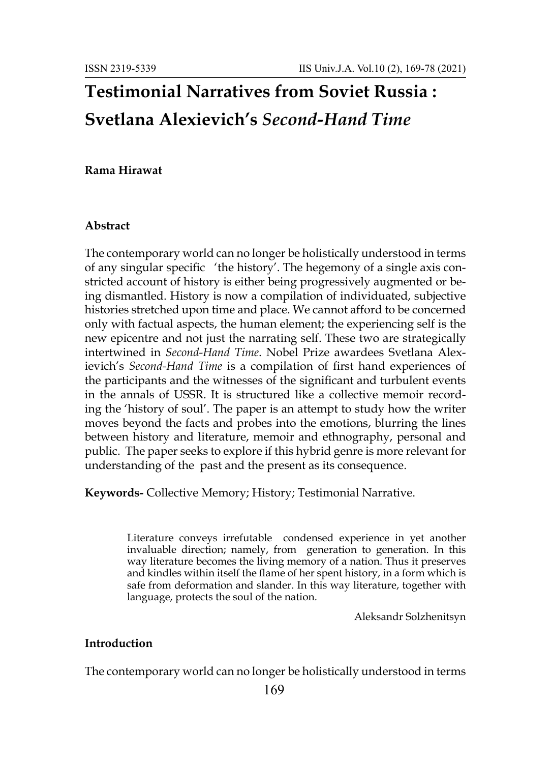# **Testimonial Narratives from Soviet Russia : Svetlana Alexievich's** *Second-Hand Time*

#### **Rama Hirawat**

#### **Abstract**

The contemporary world can no longer be holistically understood in terms of any singular specific 'the history'. The hegemony of a single axis constricted account of history is either being progressively augmented or being dismantled. History is now a compilation of individuated, subjective histories stretched upon time and place. We cannot afford to be concerned only with factual aspects, the human element; the experiencing self is the new epicentre and not just the narrating self. These two are strategically intertwined in *Second-Hand Time*. Nobel Prize awardees Svetlana Alexievich's *Second-Hand Time* is a compilation of first hand experiences of the participants and the witnesses of the significant and turbulent events in the annals of USSR. It is structured like a collective memoir recording the 'history of soul'. The paper is an attempt to study how the writer moves beyond the facts and probes into the emotions, blurring the lines between history and literature, memoir and ethnography, personal and public. The paper seeks to explore if this hybrid genre is more relevant for understanding of the past and the present as its consequence.

**Keywords-** Collective Memory; History; Testimonial Narrative.

Literature conveys irrefutable condensed experience in yet another invaluable direction; namely, from generation to generation. In this way literature becomes the living memory of a nation. Thus it preserves and kindles within itself the flame of her spent history, in a form which is safe from deformation and slander. In this way literature, together with language, protects the soul of the nation.

Aleksandr Solzhenitsyn

### **Introduction**

The contemporary world can no longer be holistically understood in terms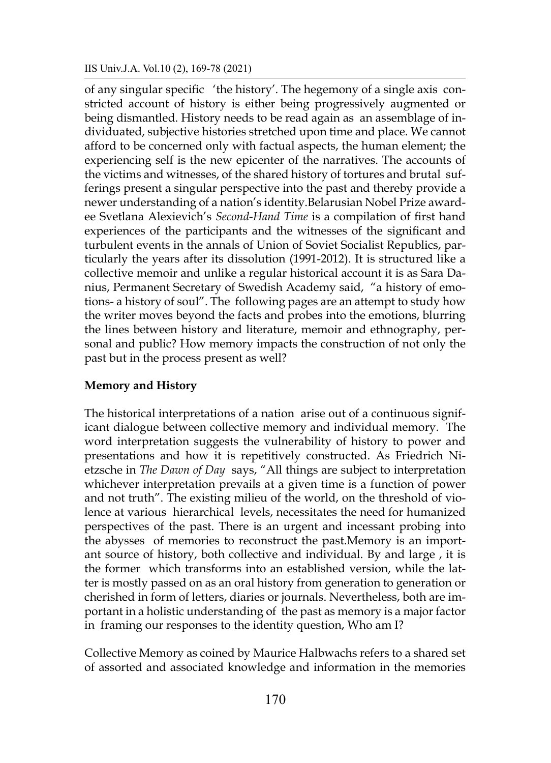of any singular specific 'the history'. The hegemony of a single axis constricted account of history is either being progressively augmented or being dismantled. History needs to be read again as an assemblage of individuated, subjective histories stretched upon time and place. We cannot afford to be concerned only with factual aspects, the human element; the experiencing self is the new epicenter of the narratives. The accounts of the victims and witnesses, of the shared history of tortures and brutal sufferings present a singular perspective into the past and thereby provide a newer understanding of a nation's identity.Belarusian Nobel Prize awardee Svetlana Alexievich's *Second-Hand Time* is a compilation of first hand experiences of the participants and the witnesses of the significant and turbulent events in the annals of Union of Soviet Socialist Republics, particularly the years after its dissolution (1991-2012). It is structured like a collective memoir and unlike a regular historical account it is as Sara Danius, Permanent Secretary of Swedish Academy said, "a history of emotions- a history of soul". The following pages are an attempt to study how the writer moves beyond the facts and probes into the emotions, blurring the lines between history and literature, memoir and ethnography, personal and public? How memory impacts the construction of not only the past but in the process present as well?

#### **Memory and History**

The historical interpretations of a nation arise out of a continuous significant dialogue between collective memory and individual memory. The word interpretation suggests the vulnerability of history to power and presentations and how it is repetitively constructed. As Friedrich Nietzsche in *The Dawn of Day* says, "All things are subject to interpretation whichever interpretation prevails at a given time is a function of power and not truth". The existing milieu of the world, on the threshold of violence at various hierarchical levels, necessitates the need for humanized perspectives of the past. There is an urgent and incessant probing into the abysses of memories to reconstruct the past.Memory is an important source of history, both collective and individual. By and large , it is the former which transforms into an established version, while the latter is mostly passed on as an oral history from generation to generation or cherished in form of letters, diaries or journals. Nevertheless, both are important in a holistic understanding of the past as memory is a major factor in framing our responses to the identity question, Who am I?

Collective Memory as coined by Maurice Halbwachs refers to a shared set of assorted and associated knowledge and information in the memories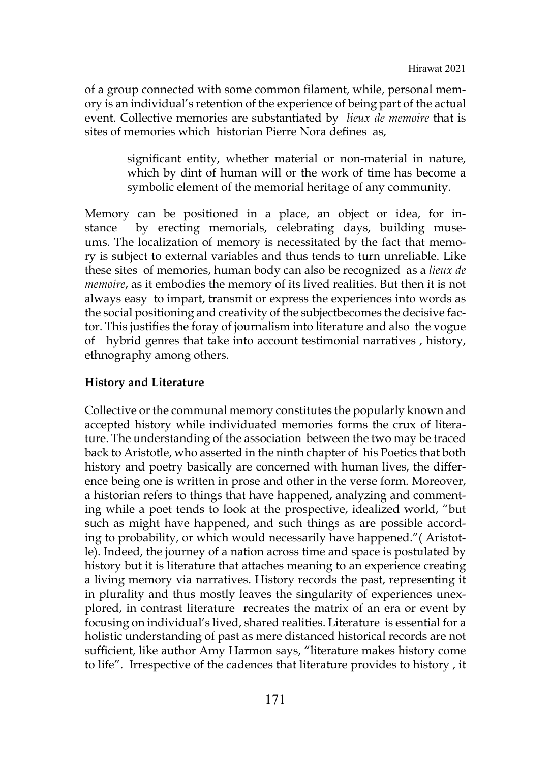of a group connected with some common filament, while, personal memory is an individual's retention of the experience of being part of the actual event. Collective memories are substantiated by *lieux de memoire* that is sites of memories which historian Pierre Nora defines as,

> significant entity, whether material or non-material in nature, which by dint of human will or the work of time has become a symbolic element of the memorial heritage of any community.

Memory can be positioned in a place, an object or idea, for instance by erecting memorials, celebrating days, building museums. The localization of memory is necessitated by the fact that memory is subject to external variables and thus tends to turn unreliable. Like these sites of memories, human body can also be recognized as a *lieux de memoire*, as it embodies the memory of its lived realities. But then it is not always easy to impart, transmit or express the experiences into words as the social positioning and creativity of the subjectbecomes the decisive factor. This justifies the foray of journalism into literature and also the vogue of hybrid genres that take into account testimonial narratives , history, ethnography among others.

# **History and Literature**

Collective or the communal memory constitutes the popularly known and accepted history while individuated memories forms the crux of literature. The understanding of the association between the two may be traced back to Aristotle, who asserted in the ninth chapter of his Poetics that both history and poetry basically are concerned with human lives, the difference being one is written in prose and other in the verse form. Moreover, a historian refers to things that have happened, analyzing and commenting while a poet tends to look at the prospective, idealized world, "but such as might have happened, and such things as are possible according to probability, or which would necessarily have happened."( Aristotle). Indeed, the journey of a nation across time and space is postulated by history but it is literature that attaches meaning to an experience creating a living memory via narratives. History records the past, representing it in plurality and thus mostly leaves the singularity of experiences unexplored, in contrast literature recreates the matrix of an era or event by focusing on individual's lived, shared realities. Literature is essential for a holistic understanding of past as mere distanced historical records are not sufficient, like author Amy Harmon says, "literature makes history come to life". Irrespective of the cadences that literature provides to history , it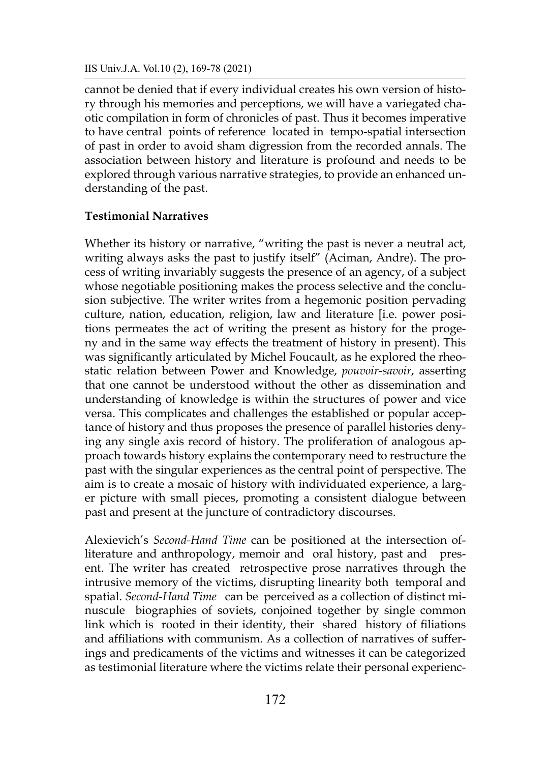cannot be denied that if every individual creates his own version of history through his memories and perceptions, we will have a variegated chaotic compilation in form of chronicles of past. Thus it becomes imperative to have central points of reference located in tempo-spatial intersection of past in order to avoid sham digression from the recorded annals. The association between history and literature is profound and needs to be explored through various narrative strategies, to provide an enhanced understanding of the past.

## **Testimonial Narratives**

Whether its history or narrative, "writing the past is never a neutral act, writing always asks the past to justify itself" (Aciman, Andre). The process of writing invariably suggests the presence of an agency, of a subject whose negotiable positioning makes the process selective and the conclusion subjective. The writer writes from a hegemonic position pervading culture, nation, education, religion, law and literature [i.e. power positions permeates the act of writing the present as history for the progeny and in the same way effects the treatment of history in present). This was significantly articulated by Michel Foucault, as he explored the rheostatic relation between Power and Knowledge, *pouvoir-savoir*, asserting that one cannot be understood without the other as dissemination and understanding of knowledge is within the structures of power and vice versa. This complicates and challenges the established or popular acceptance of history and thus proposes the presence of parallel histories denying any single axis record of history. The proliferation of analogous approach towards history explains the contemporary need to restructure the past with the singular experiences as the central point of perspective. The aim is to create a mosaic of history with individuated experience, a larger picture with small pieces, promoting a consistent dialogue between past and present at the juncture of contradictory discourses.

Alexievich's *Second-Hand Time* can be positioned at the intersection ofliterature and anthropology, memoir and oral history, past and present. The writer has created retrospective prose narratives through the intrusive memory of the victims, disrupting linearity both temporal and spatial. *Second-Hand Time* can be perceived as a collection of distinct minuscule biographies of soviets, conjoined together by single common link which is rooted in their identity, their shared history of filiations and affiliations with communism. As a collection of narratives of sufferings and predicaments of the victims and witnesses it can be categorized as testimonial literature where the victims relate their personal experienc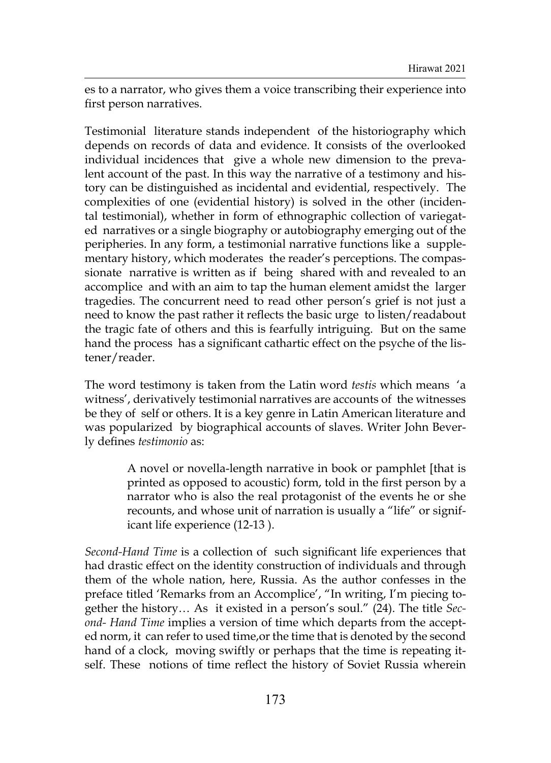es to a narrator, who gives them a voice transcribing their experience into first person narratives.

Testimonial literature stands independent of the historiography which depends on records of data and evidence. It consists of the overlooked individual incidences that give a whole new dimension to the prevalent account of the past. In this way the narrative of a testimony and history can be distinguished as incidental and evidential, respectively. The complexities of one (evidential history) is solved in the other (incidental testimonial), whether in form of ethnographic collection of variegated narratives or a single biography or autobiography emerging out of the peripheries. In any form, a testimonial narrative functions like a supplementary history, which moderates the reader's perceptions. The compassionate narrative is written as if being shared with and revealed to an accomplice and with an aim to tap the human element amidst the larger tragedies. The concurrent need to read other person's grief is not just a need to know the past rather it reflects the basic urge to listen/readabout the tragic fate of others and this is fearfully intriguing. But on the same hand the process has a significant cathartic effect on the psyche of the listener/reader.

The word testimony is taken from the Latin word *testis* which means 'a witness', derivatively testimonial narratives are accounts of the witnesses be they of self or others. It is a key genre in Latin American literature and was popularized by biographical accounts of slaves. Writer John Beverly defines *testimonio* as:

> A novel or novella-length narrative in book or pamphlet [that is printed as opposed to acoustic) form, told in the first person by a narrator who is also the real protagonist of the events he or she recounts, and whose unit of narration is usually a "life" or significant life experience (12-13 ).

*Second-Hand Time* is a collection of such significant life experiences that had drastic effect on the identity construction of individuals and through them of the whole nation, here, Russia. As the author confesses in the preface titled 'Remarks from an Accomplice', "In writing, I'm piecing together the history… As it existed in a person's soul." (24). The title *Second- Hand Time* implies a version of time which departs from the accepted norm, it can refer to used time,or the time that is denoted by the second hand of a clock, moving swiftly or perhaps that the time is repeating itself. These notions of time reflect the history of Soviet Russia wherein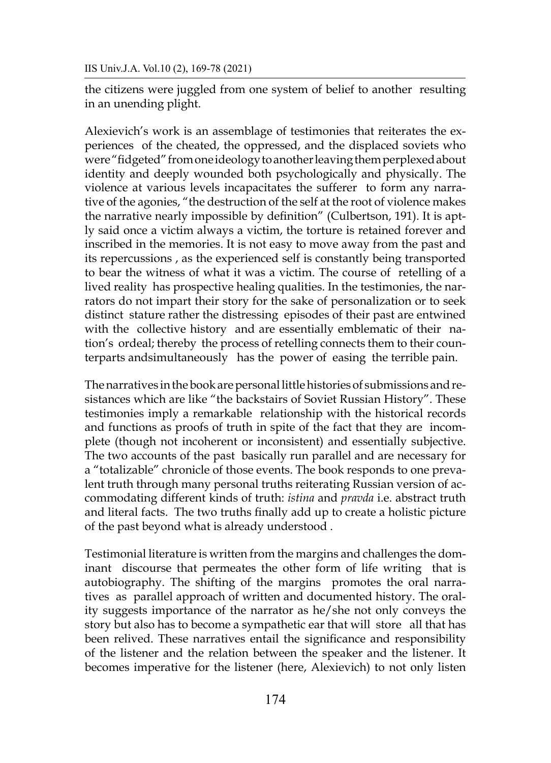IIS Univ.J.A. Vol.10 (2), 169-78 (2021)

the citizens were juggled from one system of belief to another resulting in an unending plight.

Alexievich's work is an assemblage of testimonies that reiterates the experiences of the cheated, the oppressed, and the displaced soviets who were "fidgeted" from one ideology to another leaving them perplexed about identity and deeply wounded both psychologically and physically. The violence at various levels incapacitates the sufferer to form any narrative of the agonies, "the destruction of the self at the root of violence makes the narrative nearly impossible by definition" (Culbertson, 191). It is aptly said once a victim always a victim, the torture is retained forever and inscribed in the memories. It is not easy to move away from the past and its repercussions , as the experienced self is constantly being transported to bear the witness of what it was a victim. The course of retelling of a lived reality has prospective healing qualities. In the testimonies, the narrators do not impart their story for the sake of personalization or to seek distinct stature rather the distressing episodes of their past are entwined with the collective history and are essentially emblematic of their nation's ordeal; thereby the process of retelling connects them to their counterparts andsimultaneously has the power of easing the terrible pain.

The narratives in the book are personal little histories of submissions and resistances which are like "the backstairs of Soviet Russian History". These testimonies imply a remarkable relationship with the historical records and functions as proofs of truth in spite of the fact that they are incomplete (though not incoherent or inconsistent) and essentially subjective. The two accounts of the past basically run parallel and are necessary for a "totalizable" chronicle of those events. The book responds to one prevalent truth through many personal truths reiterating Russian version of accommodating different kinds of truth: *istina* and *pravda* i.e. abstract truth and literal facts. The two truths finally add up to create a holistic picture of the past beyond what is already understood .

Testimonial literature is written from the margins and challenges the dominant discourse that permeates the other form of life writing that is autobiography. The shifting of the margins promotes the oral narratives as parallel approach of written and documented history. The orality suggests importance of the narrator as he/she not only conveys the story but also has to become a sympathetic ear that will store all that has been relived. These narratives entail the significance and responsibility of the listener and the relation between the speaker and the listener. It becomes imperative for the listener (here, Alexievich) to not only listen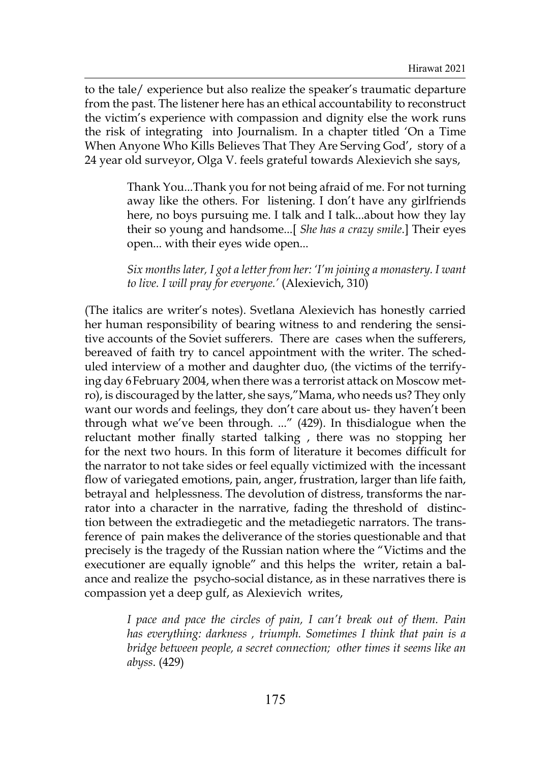to the tale/ experience but also realize the speaker's traumatic departure from the past. The listener here has an ethical accountability to reconstruct the victim's experience with compassion and dignity else the work runs the risk of integrating into Journalism. In a chapter titled 'On a Time When Anyone Who Kills Believes That They Are Serving God', story of a 24 year old surveyor, Olga V. feels grateful towards Alexievich she says,

> Thank You...Thank you for not being afraid of me. For not turning away like the others. For listening. I don't have any girlfriends here, no boys pursuing me. I talk and I talk...about how they lay their so young and handsome...[ *She has a crazy smile*.] Their eyes open... with their eyes wide open...

> *Six months later, I got a letter from her: 'I'm joining a monastery. I want to live. I will pray for everyone.'* (Alexievich, 310)

(The italics are writer's notes). Svetlana Alexievich has honestly carried her human responsibility of bearing witness to and rendering the sensitive accounts of the Soviet sufferers. There are cases when the sufferers, bereaved of faith try to cancel appointment with the writer. The scheduled interview of a mother and daughter duo, (the victims of the terrifying day 6February 2004, when there was a terrorist attack on Moscow metro), is discouraged by the latter, she says,"Mama, who needs us? They only want our words and feelings, they don't care about us- they haven't been through what we've been through. ..." (429). In thisdialogue when the reluctant mother finally started talking , there was no stopping her for the next two hours. In this form of literature it becomes difficult for the narrator to not take sides or feel equally victimized with the incessant flow of variegated emotions, pain, anger, frustration, larger than life faith, betrayal and helplessness. The devolution of distress, transforms the narrator into a character in the narrative, fading the threshold of distinction between the extradiegetic and the metadiegetic narrators. The transference of pain makes the deliverance of the stories questionable and that precisely is the tragedy of the Russian nation where the "Victims and the executioner are equally ignoble" and this helps the writer, retain a balance and realize the psycho-social distance, as in these narratives there is compassion yet a deep gulf, as Alexievich writes,

> *I pace and pace the circles of pain, I can't break out of them. Pain has everything: darkness , triumph. Sometimes I think that pain is a bridge between people, a secret connection; other times it seems like an abyss*. (429)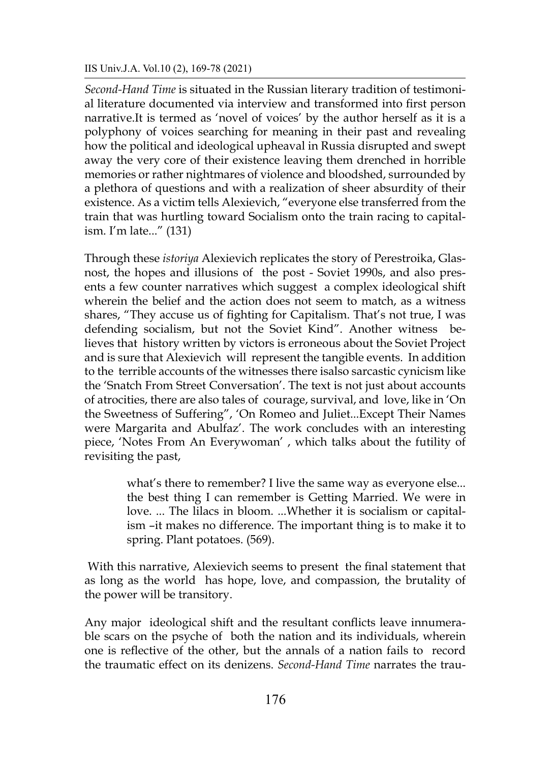#### IIS Univ.J.A. Vol.10 (2), 169-78 (2021)

*Second-Hand Time* is situated in the Russian literary tradition of testimonial literature documented via interview and transformed into first person narrative.It is termed as 'novel of voices' by the author herself as it is a polyphony of voices searching for meaning in their past and revealing how the political and ideological upheaval in Russia disrupted and swept away the very core of their existence leaving them drenched in horrible memories or rather nightmares of violence and bloodshed, surrounded by a plethora of questions and with a realization of sheer absurdity of their existence. As a victim tells Alexievich, "everyone else transferred from the train that was hurtling toward Socialism onto the train racing to capitalism. I'm late..." (131)

Through these *istoriya* Alexievich replicates the story of Perestroika, Glasnost, the hopes and illusions of the post - Soviet 1990s, and also presents a few counter narratives which suggest a complex ideological shift wherein the belief and the action does not seem to match, as a witness shares, "They accuse us of fighting for Capitalism. That's not true, I was defending socialism, but not the Soviet Kind". Another witness believes that history written by victors is erroneous about the Soviet Project and is sure that Alexievich will represent the tangible events. In addition to the terrible accounts of the witnesses there isalso sarcastic cynicism like the 'Snatch From Street Conversation'. The text is not just about accounts of atrocities, there are also tales of courage, survival, and love, like in 'On the Sweetness of Suffering", 'On Romeo and Juliet...Except Their Names were Margarita and Abulfaz'. The work concludes with an interesting piece, 'Notes From An Everywoman' , which talks about the futility of revisiting the past,

> what's there to remember? I live the same way as everyone else... the best thing I can remember is Getting Married. We were in love. ... The lilacs in bloom. ...Whether it is socialism or capitalism –it makes no difference. The important thing is to make it to spring. Plant potatoes. (569).

With this narrative, Alexievich seems to present the final statement that as long as the world has hope, love, and compassion, the brutality of the power will be transitory.

Any major ideological shift and the resultant conflicts leave innumerable scars on the psyche of both the nation and its individuals, wherein one is reflective of the other, but the annals of a nation fails to record the traumatic effect on its denizens. *Second-Hand Time* narrates the trau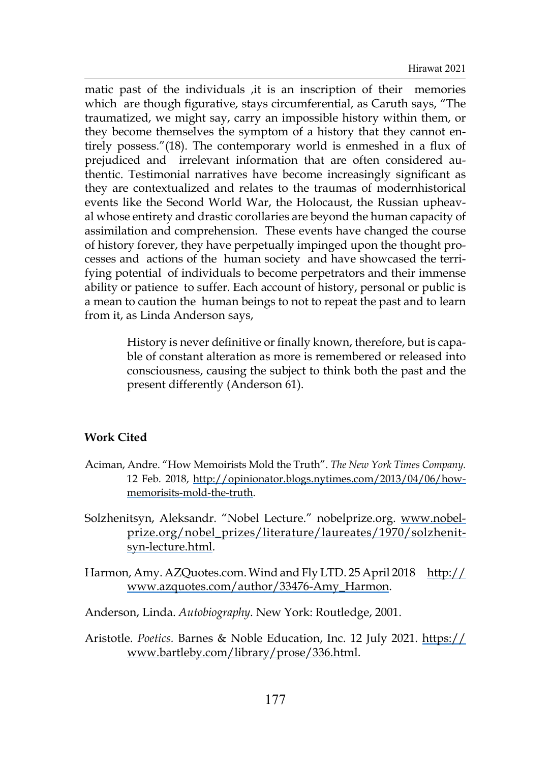matic past of the individuals ,it is an inscription of their memories which are though figurative, stays circumferential, as Caruth says, "The traumatized, we might say, carry an impossible history within them, or they become themselves the symptom of a history that they cannot entirely possess."(18). The contemporary world is enmeshed in a flux of prejudiced and irrelevant information that are often considered authentic. Testimonial narratives have become increasingly significant as they are contextualized and relates to the traumas of modernhistorical events like the Second World War, the Holocaust, the Russian upheaval whose entirety and drastic corollaries are beyond the human capacity of assimilation and comprehension. These events have changed the course of history forever, they have perpetually impinged upon the thought processes and actions of the human society and have showcased the terrifying potential of individuals to become perpetrators and their immense ability or patience to suffer. Each account of history, personal or public is a mean to caution the human beings to not to repeat the past and to learn from it, as Linda Anderson says,

> History is never definitive or finally known, therefore, but is capable of constant alteration as more is remembered or released into consciousness, causing the subject to think both the past and the present differently (Anderson 61).

## **Work Cited**

- Aciman, Andre. "How Memoirists Mold the Truth". *The New York Times Company.* 12 Feb. 2018, [http://opinionator.blogs.nytimes.com/2013/04/06/how](http://opinionator.blogs.nytimes.com/2013/04/06/how-memorisits-mold-the-truth)[memorisits-mold-the-truth](http://opinionator.blogs.nytimes.com/2013/04/06/how-memorisits-mold-the-truth).
- Solzhenitsyn, Aleksandr. "Nobel Lecture." nobelprize.org. [www.nobel](http://www.nobelprize.org/nobel_prizes/literature/laureates/1970/solzhenitsyn-lecture.html)[prize.org/nobel\\_prizes/literature/laureates/1970/solzhenit](http://www.nobelprize.org/nobel_prizes/literature/laureates/1970/solzhenitsyn-lecture.html)[syn-lecture.html](http://www.nobelprize.org/nobel_prizes/literature/laureates/1970/solzhenitsyn-lecture.html).
- Harmon, Amy. AZQuotes.com. Wind and Fly LTD. 25 April 2018 [http://](http://www.azquotes.com/author/33476-Amy_Harmon) [www.azquotes.com/author/33476-Amy\\_Harmon.](http://www.azquotes.com/author/33476-Amy_Harmon)
- Anderson, Linda. *Autobiography*. New York: Routledge, 2001.
- Aristotle. *Poetics.* Barnes & Noble Education, Inc. 12 July 2021. [https://](https://www.bartleby.com/library/prose/336.html) [www.bartleby.com/library/prose/336.html](https://www.bartleby.com/library/prose/336.html).